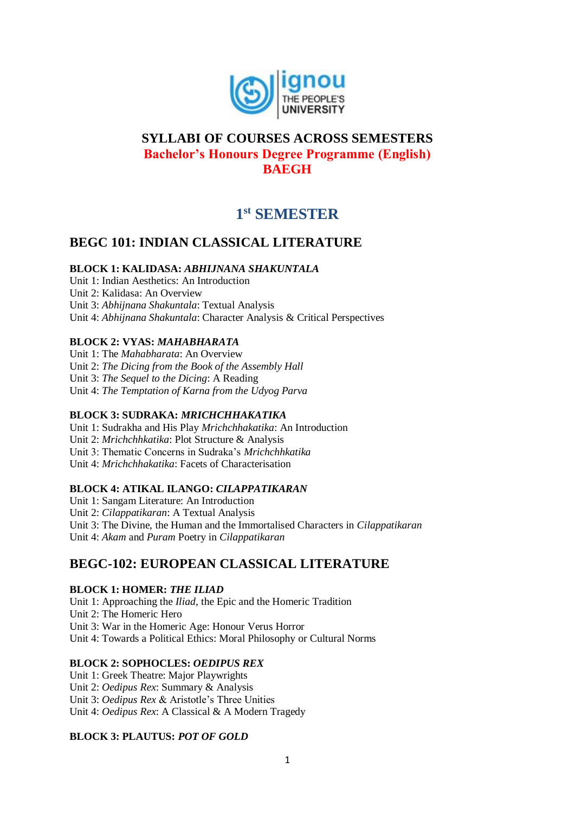

# **SYLLABI OF COURSES ACROSS SEMESTERS Bachelor's Honours Degree Programme (English) BAEGH**

# **1 st SEMESTER**

# **BEGC 101: INDIAN CLASSICAL LITERATURE**

# **BLOCK 1: KALIDASA:** *ABHIJNANA SHAKUNTALA*

Unit 1: Indian Aesthetics: An Introduction Unit 2: Kalidasa: An Overview Unit 3: *Abhijnana Shakuntala*: Textual Analysis Unit 4: *Abhijnana Shakuntala*: Character Analysis & Critical Perspectives

# **BLOCK 2: VYAS:** *MAHABHARATA*

Unit 1: The *Mahabharata*: An Overview Unit 2: *The Dicing from the Book of the Assembly Hall* Unit 3: *The Sequel to the Dicing*: A Reading Unit 4: *The Temptation of Karna from the Udyog Parva*

### **BLOCK 3: SUDRAKA:** *MRICHCHHAKATIKA*

Unit 1: Sudrakha and His Play *Mrichchhakatika*: An Introduction Unit 2: *Mrichchhkatika*: Plot Structure & Analysis Unit 3: Thematic Concerns in Sudraka's *Mrichchhkatika*  Unit 4: *Mrichchhakatika*: Facets of Characterisation

### **BLOCK 4: ATIKAL ILANGO:** *CILAPPATIKARAN*

Unit 1: Sangam Literature: An Introduction Unit 2: *Cilappatikaran*: A Textual Analysis Unit 3: The Divine, the Human and the Immortalised Characters in *Cilappatikaran*  Unit 4: *Akam* and *Puram* Poetry in *Cilappatikaran*

# **BEGC-102: EUROPEAN CLASSICAL LITERATURE**

### **BLOCK 1: HOMER:** *THE ILIAD*

Unit 1: Approaching the *Iliad*, the Epic and the Homeric Tradition Unit 2: The Homeric Hero Unit 3: War in the Homeric Age: Honour Verus Horror Unit 4: Towards a Political Ethics: Moral Philosophy or Cultural Norms

### **BLOCK 2: SOPHOCLES:** *OEDIPUS REX*

Unit 1: Greek Theatre: Major Playwrights Unit 2: *Oedipus Rex*: Summary & Analysis Unit 3: *Oedipus Rex* & Aristotle's Three Unities Unit 4: *Oedipus Rex*: A Classical & A Modern Tragedy

### **BLOCK 3: PLAUTUS:** *POT OF GOLD*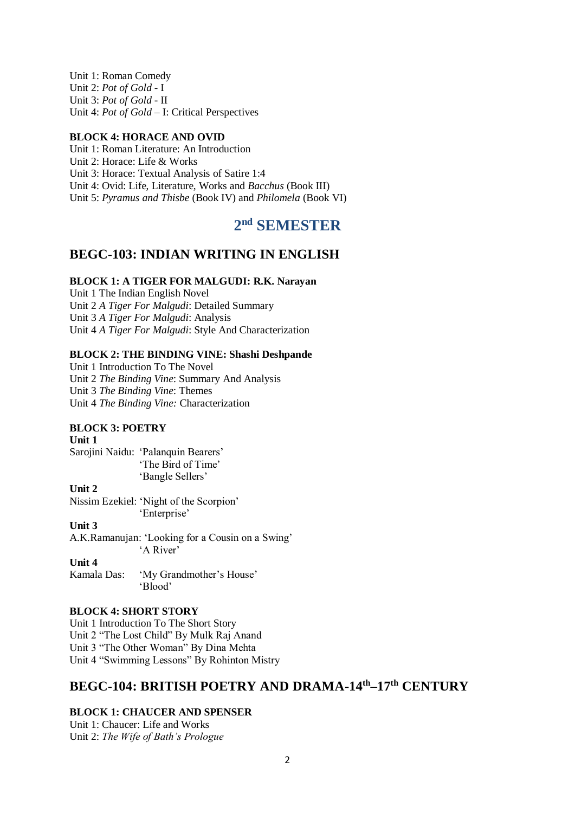Unit 1: Roman Comedy Unit 2: *Pot of Gold* - I Unit 3: *Pot of Gold* - II Unit 4: *Pot of Gold* – I: Critical Perspectives

#### **BLOCK 4: HORACE AND OVID**

Unit 1: Roman Literature: An Introduction Unit 2: Horace: Life & Works Unit 3: Horace: Textual Analysis of Satire 1:4 Unit 4: Ovid: Life, Literature, Works and *Bacchus* (Book III) Unit 5: *Pyramus and Thisbe* (Book IV) and *Philomela* (Book VI)

# **2 nd SEMESTER**

# **BEGC-103: INDIAN WRITING IN ENGLISH**

### **BLOCK 1: A TIGER FOR MALGUDI: R.K. Narayan**

Unit 1 The Indian English Novel Unit 2 *A Tiger For Malgudi*: Detailed Summary Unit 3 *A Tiger For Malgudi*: Analysis Unit 4 *A Tiger For Malgudi*: Style And Characterization

#### **BLOCK 2: THE BINDING VINE: Shashi Deshpande**

Unit 1 Introduction To The Novel Unit 2 *The Binding Vine*: Summary And Analysis Unit 3 *The Binding Vine*: Themes Unit 4 *The Binding Vine:* Characterization

#### **BLOCK 3: POETRY**

#### **Unit 1**

Sarojini Naidu: 'Palanquin Bearers' 'The Bird of Time' 'Bangle Sellers'

#### **Unit 2**

Nissim Ezekiel: 'Night of the Scorpion' 'Enterprise'

#### **Unit 3**

A.K.Ramanujan: 'Looking for a Cousin on a Swing' 'A River'

## **Unit 4**

Kamala Das: 'My Grandmother's House' 'Blood'

#### **BLOCK 4: SHORT STORY**

Unit 1 Introduction To The Short Story Unit 2 "The Lost Child" By Mulk Raj Anand Unit 3 "The Other Woman" By Dina Mehta Unit 4 "Swimming Lessons" By Rohinton Mistry

# **BEGC-104: BRITISH POETRY AND DRAMA-14th–17th CENTURY**

#### **BLOCK 1: CHAUCER AND SPENSER**

Unit 1: Chaucer: Life and Works Unit 2: *The Wife of Bath's Prologue*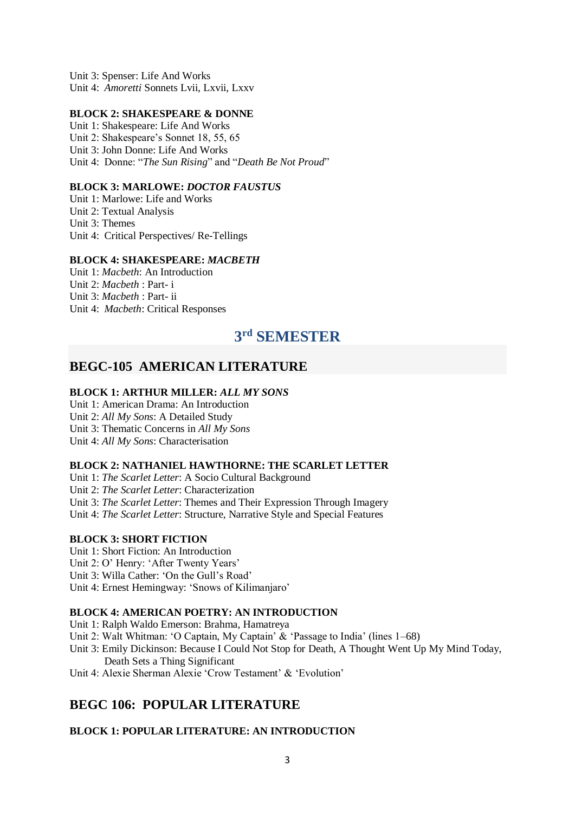Unit 3: Spenser: Life And Works Unit 4: *Amoretti* Sonnets Lvii, Lxvii, Lxxv

#### **BLOCK 2: SHAKESPEARE & DONNE**

Unit 1: Shakespeare: Life And Works Unit 2: Shakespeare's Sonnet 18, 55, 65 Unit 3: John Donne: Life And Works Unit 4: Donne: "*The Sun Rising*" and "*Death Be Not Proud*"

#### **BLOCK 3: MARLOWE:** *DOCTOR FAUSTUS*

Unit 1: Marlowe: Life and Works Unit 2: Textual Analysis Unit 3: Themes Unit 4: Critical Perspectives/ Re-Tellings

#### **BLOCK 4: SHAKESPEARE:** *MACBETH*

Unit 1: *Macbeth*: An Introduction Unit 2: *Macbeth* : Part- i Unit 3: *Macbeth* : Part- ii Unit 4: *Macbeth*: Critical Responses

# **3 rd SEMESTER**

# **BEGC-105 AMERICAN LITERATURE**

#### **BLOCK 1: ARTHUR MILLER:** *ALL MY SONS*

Unit 1: American Drama: An Introduction Unit 2: *All My Sons*: A Detailed Study Unit 3: Thematic Concerns in *All My Sons* Unit 4: *All My Sons*: Characterisation

#### **BLOCK 2: NATHANIEL HAWTHORNE: THE SCARLET LETTER**

Unit 1: *The Scarlet Letter*: A Socio Cultural Background Unit 2: *The Scarlet Letter*: Characterization Unit 3: *The Scarlet Letter*: Themes and Their Expression Through Imagery Unit 4: *The Scarlet Letter*: Structure, Narrative Style and Special Features

#### **BLOCK 3: SHORT FICTION**

Unit 1: Short Fiction: An Introduction

Unit 2: O' Henry: 'After Twenty Years'

Unit 3: Willa Cather: 'On the Gull's Road'

Unit 4: Ernest Hemingway: 'Snows of Kilimanjaro'

#### **BLOCK 4: AMERICAN POETRY: AN INTRODUCTION**

Unit 1: Ralph Waldo Emerson: Brahma, Hamatreya

- Unit 2: Walt Whitman: 'O Captain, My Captain' & 'Passage to India' (lines 1–68)
- Unit 3: Emily Dickinson: Because I Could Not Stop for Death, A Thought Went Up My Mind Today, Death Sets a Thing Significant
- Unit 4: Alexie Sherman Alexie 'Crow Testament' & 'Evolution'

# **BEGC 106: POPULAR LITERATURE**

#### **BLOCK 1: POPULAR LITERATURE: AN INTRODUCTION**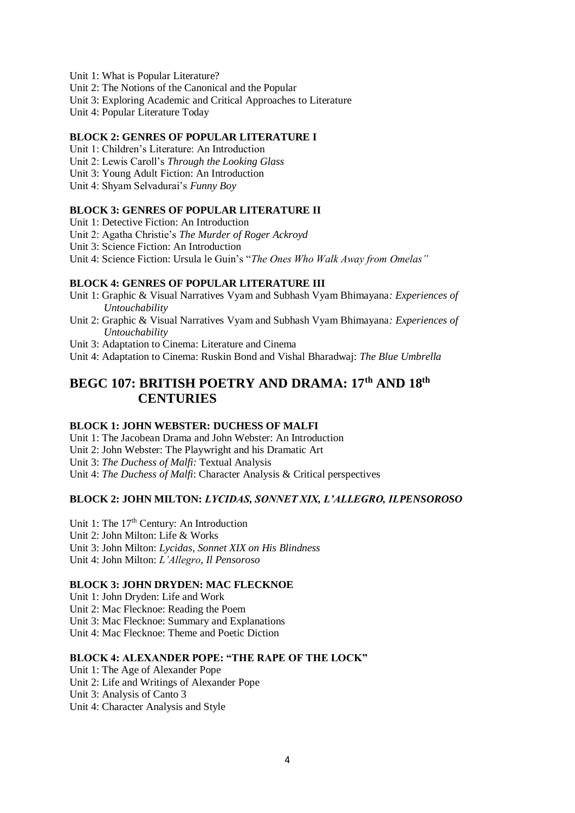- Unit 1: What is Popular Literature?
- Unit 2: The Notions of the Canonical and the Popular
- Unit 3: Exploring Academic and Critical Approaches to Literature
- Unit 4: Popular Literature Today

### **BLOCK 2: GENRES OF POPULAR LITERATURE I**

- Unit 1: Children's Literature: An Introduction
- Unit 2: Lewis Caroll's *Through the Looking Glass*
- Unit 3: Young Adult Fiction: An Introduction
- Unit 4: Shyam Selvadurai's *Funny Boy*

#### **BLOCK 3: GENRES OF POPULAR LITERATURE II**

Unit 1: Detective Fiction: An Introduction

- Unit 2: Agatha Christie's *The Murder of Roger Ackroyd*
- Unit 3: Science Fiction: An Introduction

Unit 4: Science Fiction: Ursula le Guin's "*The Ones Who Walk Away from Omelas"* 

#### **BLOCK 4: GENRES OF POPULAR LITERATURE III**

- Unit 1: Graphic & Visual Narratives Vyam and Subhash Vyam Bhimayana*: Experiences of Untouchability*
- Unit 2: Graphic & Visual Narratives Vyam and Subhash Vyam Bhimayana*: Experiences of Untouchability*
- Unit 3: Adaptation to Cinema: Literature and Cinema

Unit 4: Adaptation to Cinema: Ruskin Bond and Vishal Bharadwaj: *The Blue Umbrella*

# **BEGC 107: BRITISH POETRY AND DRAMA: 17th AND 18th CENTURIES**

#### **BLOCK 1: JOHN WEBSTER: DUCHESS OF MALFI**

Unit 1: The Jacobean Drama and John Webster: An Introduction Unit 2: John Webster: The Playwright and his Dramatic Art Unit 3: *The Duchess of Malfi:* Textual Analysis Unit 4: *The Duchess of Malfi*: Character Analysis & Critical perspectives

# **BLOCK 2: JOHN MILTON:** *LYCIDAS, SONNET XIX, L'ALLEGRO, ILPENSOROSO*

Unit 1: The 17<sup>th</sup> Century: An Introduction Unit 2: John Milton: Life & Works Unit 3: John Milton: *Lycidas*, *Sonnet XIX on His Blindness*  Unit 4: John Milton: *L'Allegro*, *Il Pensoroso*

#### **BLOCK 3: JOHN DRYDEN: MAC FLECKNOE**

Unit 1: John Dryden: Life and Work Unit 2: Mac Flecknoe: Reading the Poem Unit 3: Mac Flecknoe: Summary and Explanations Unit 4: Mac Flecknoe: Theme and Poetic Diction

#### **BLOCK 4: ALEXANDER POPE: "THE RAPE OF THE LOCK"**

Unit 1: The Age of Alexander Pope Unit 2: Life and Writings of Alexander Pope Unit 3: Analysis of Canto 3 Unit 4: Character Analysis and Style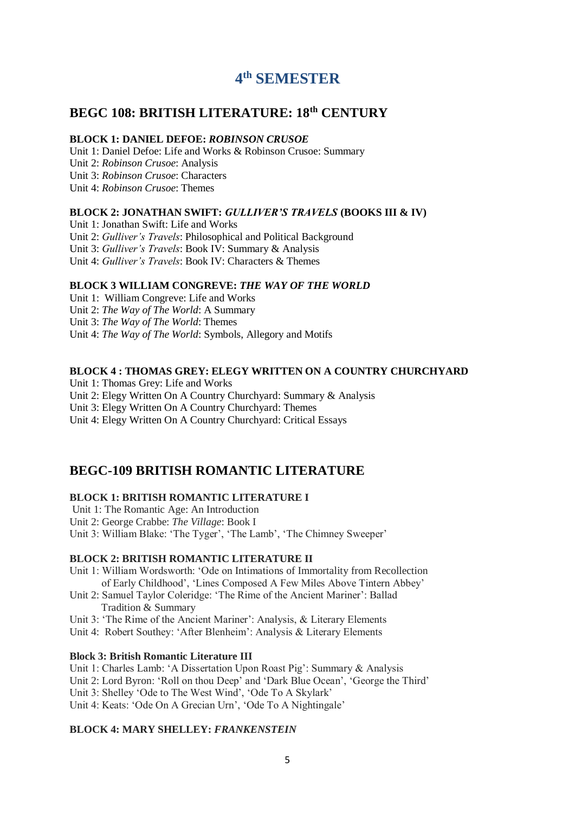# **4 th SEMESTER**

# **BEGC 108: BRITISH LITERATURE: 18th CENTURY**

#### **BLOCK 1: DANIEL DEFOE:** *ROBINSON CRUSOE*

Unit 1: Daniel Defoe: Life and Works & Robinson Crusoe: Summary Unit 2: *Robinson Crusoe*: Analysis Unit 3: *Robinson Crusoe*: Characters Unit 4: *Robinson Crusoe*: Themes

#### **BLOCK 2: JONATHAN SWIFT:** *GULLIVER'S TRAVELS* **(BOOKS III & IV)**

Unit 1: Jonathan Swift: Life and Works Unit 2: *Gulliver's Travels*: Philosophical and Political Background Unit 3: *Gulliver's Travels*: Book IV: Summary & Analysis Unit 4: *Gulliver's Travels*: Book IV: Characters & Themes

### **BLOCK 3 WILLIAM CONGREVE:** *THE WAY OF THE WORLD*

Unit 1: William Congreve: Life and Works Unit 2: *The Way of The World*: A Summary Unit 3: *The Way of The World*: Themes Unit 4: *The Way of The World*: Symbols, Allegory and Motifs

### **BLOCK 4 : THOMAS GREY: ELEGY WRITTEN ON A COUNTRY CHURCHYARD**

Unit 1: Thomas Grey: Life and Works Unit 2: Elegy Written On A Country Churchyard: Summary & Analysis Unit 3: Elegy Written On A Country Churchyard: Themes Unit 4: Elegy Written On A Country Churchyard: Critical Essays

# **BEGC-109 BRITISH ROMANTIC LITERATURE**

#### **BLOCK 1: BRITISH ROMANTIC LITERATURE I**

Unit 1: The Romantic Age: An Introduction Unit 2: George Crabbe: *The Village*: Book I Unit 3: William Blake: 'The Tyger', 'The Lamb', 'The Chimney Sweeper'

### **BLOCK 2: BRITISH ROMANTIC LITERATURE II**

Unit 1: William Wordsworth: 'Ode on Intimations of Immortality from Recollection of Early Childhood', 'Lines Composed A Few Miles Above Tintern Abbey'

Unit 2: Samuel Taylor Coleridge: 'The Rime of the Ancient Mariner': Ballad Tradition & Summary

Unit 3: 'The Rime of the Ancient Mariner': Analysis, & Literary Elements

Unit 4: Robert Southey: 'After Blenheim': Analysis & Literary Elements

#### **Block 3: British Romantic Literature III**

Unit 1: Charles Lamb: 'A Dissertation Upon Roast Pig': Summary & Analysis Unit 2: Lord Byron: 'Roll on thou Deep' and 'Dark Blue Ocean', 'George the Third' Unit 3: Shelley 'Ode to The West Wind', 'Ode To A Skylark' Unit 4: Keats: 'Ode On A Grecian Urn', 'Ode To A Nightingale'

#### **BLOCK 4: MARY SHELLEY:** *FRANKENSTEIN*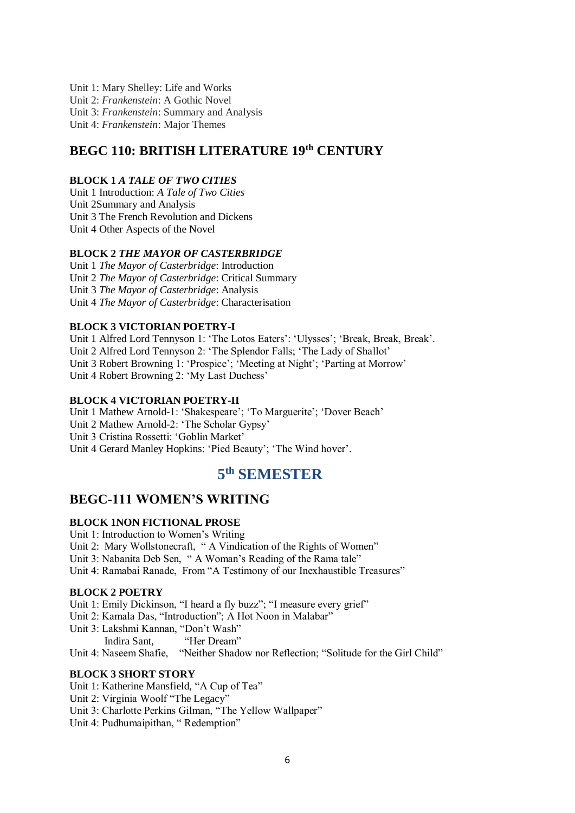Unit 1: Mary Shelley: Life and Works Unit 2: *Frankenstein*: A Gothic Novel Unit 3: *Frankenstein*: Summary and Analysis Unit 4: *Frankenstein*: Major Themes

# **BEGC 110: BRITISH LITERATURE 19th CENTURY**

#### **BLOCK 1** *A TALE OF TWO CITIES*

Unit 1 Introduction: *A Tale of Two Cities* Unit 2Summary and Analysis Unit 3 The French Revolution and Dickens Unit 4 Other Aspects of the Novel

#### **BLOCK 2** *THE MAYOR OF CASTERBRIDGE*

Unit 1 *The Mayor of Casterbridge*: Introduction Unit 2 *The Mayor of Casterbridge*: Critical Summary Unit 3 *The Mayor of Casterbridge*: Analysis Unit 4 *The Mayor of Casterbridge*: Characterisation

#### **BLOCK 3 VICTORIAN POETRY-I**

Unit 1 Alfred Lord Tennyson 1: 'The Lotos Eaters': 'Ulysses'; 'Break, Break, Break'. Unit 2 Alfred Lord Tennyson 2: 'The Splendor Falls; 'The Lady of Shallot' Unit 3 Robert Browning 1: 'Prospice'; 'Meeting at Night'; 'Parting at Morrow' Unit 4 Robert Browning 2: 'My Last Duchess'

#### **BLOCK 4 VICTORIAN POETRY-II**

Unit 1 Mathew Arnold-1: 'Shakespeare'; 'To Marguerite'; 'Dover Beach' Unit 2 Mathew Arnold-2: 'The Scholar Gypsy' Unit 3 Cristina Rossetti: 'Goblin Market' Unit 4 Gerard Manley Hopkins: 'Pied Beauty'; 'The Wind hover'.

# **5 th SEMESTER**

# **BEGC-111 WOMEN'S WRITING**

#### **BLOCK 1NON FICTIONAL PROSE**

Unit 1: Introduction to Women's Writing Unit 2: Mary Wollstonecraft, " A Vindication of the Rights of Women" Unit 3: Nabanita Deb Sen, " A Woman's Reading of the Rama tale" Unit 4: Ramabai Ranade, From "A Testimony of our Inexhaustible Treasures"

#### **BLOCK 2 POETRY**

Unit 1: Emily Dickinson, "I heard a fly buzz"; "I measure every grief" Unit 2: Kamala Das, "Introduction"; A Hot Noon in Malabar"

Unit 3: Lakshmi Kannan, "Don't Wash"

Indira Sant, "Her Dream"

Unit 4: Naseem Shafie, "Neither Shadow nor Reflection; "Solitude for the Girl Child"

#### **BLOCK 3 SHORT STORY**

Unit 1: Katherine Mansfield, "A Cup of Tea"

Unit 2: Virginia Woolf "The Legacy"

Unit 3: Charlotte Perkins Gilman, "The Yellow Wallpaper"

Unit 4: Pudhumaipithan, "Redemption"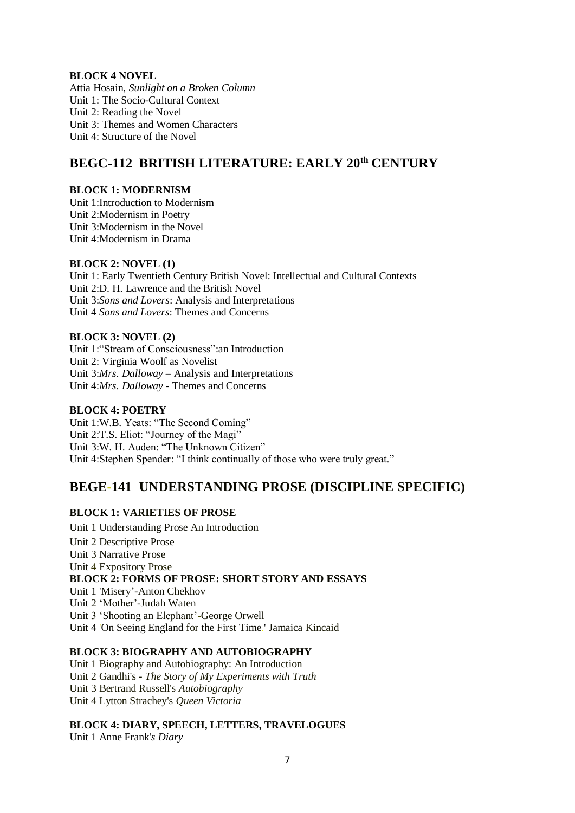#### **BLOCK 4 NOVEL**

Attia Hosain, *Sunlight on a Broken Column* Unit 1: The Socio-Cultural Context Unit 2: Reading the Novel Unit 3: Themes and Women Characters Unit 4: Structure of the Novel

# **BEGC-112 BRITISH LITERATURE: EARLY 20th CENTURY**

#### **BLOCK 1: MODERNISM**

Unit 1:Introduction to Modernism Unit 2:Modernism in Poetry Unit 3:Modernism in the Novel Unit 4:Modernism in Drama

#### **BLOCK 2: NOVEL (1)**

Unit 1: Early Twentieth Century British Novel: Intellectual and Cultural Contexts Unit 2:D. H. Lawrence and the British Novel Unit 3:*Sons and Lovers*: Analysis and Interpretations Unit 4 *Sons and Lovers*: Themes and Concerns

### **BLOCK 3: NOVEL (2)**

Unit 1:"Stream of Consciousness":an Introduction Unit 2: Virginia Woolf as Novelist Unit 3:*Mrs*. *Dalloway* – Analysis and Interpretations Unit 4:*Mrs*. *Dalloway* - Themes and Concerns

### **BLOCK 4: POETRY**

Unit 1:W.B. Yeats: "The Second Coming" Unit 2:T.S. Eliot: "Journey of the Magi" Unit 3:W. H. Auden: "The Unknown Citizen" Unit 4:Stephen Spender: "I think continually of those who were truly great."

# **BEGE-141 UNDERSTANDING PROSE (DISCIPLINE SPECIFIC)**

### **BLOCK 1: VARIETIES OF PROSE**

Unit 1 Understanding Prose An Introduction Unit 2 Descriptive Prose Unit 3 Narrative Prose Unit 4 Expository Prose **BLOCK 2: FORMS OF PROSE: SHORT STORY AND ESSAYS** Unit 1 'Misery'-Anton Chekhov Unit 2 'Mother'-Judah Waten Unit 3 'Shooting an Elephant'-George Orwell Unit 4 'On Seeing England for the First Time.' Jamaica Kincaid

# **BLOCK 3: BIOGRAPHY AND AUTOBIOGRAPHY**

Unit 1 Biography and Autobiography: An Introduction Unit 2 Gandhi's - *The Story of My Experiments with Truth* Unit 3 Bertrand Russell's *Autobiography* Unit 4 Lytton Strachey's *Queen Victoria*

#### **BLOCK 4: DIARY, SPEECH, LETTERS, TRAVELOGUES**

Unit 1 Anne Frank'*s Diary*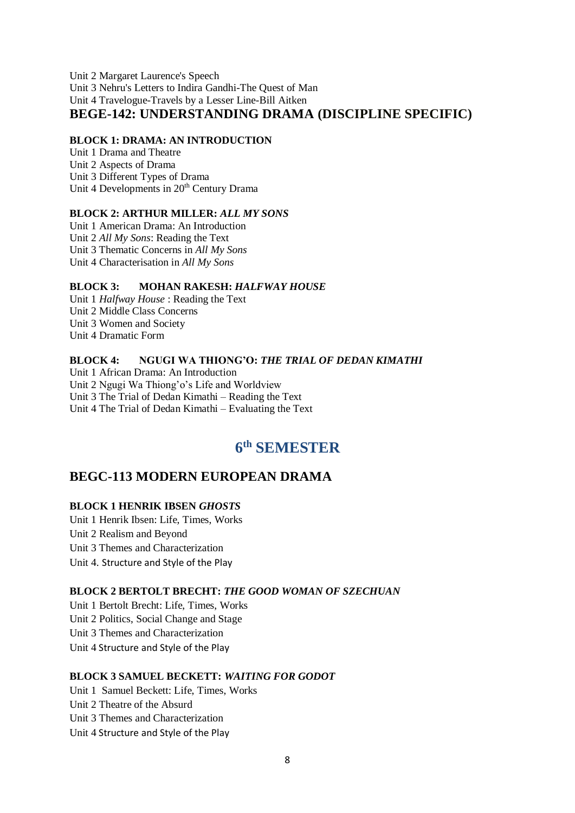Unit 2 Margaret Laurence's Speech Unit 3 Nehru's Letters to Indira Gandhi-The Quest of Man Unit 4 Travelogue-Travels by a Lesser Line-Bill Aitken **BEGE-142: UNDERSTANDING DRAMA (DISCIPLINE SPECIFIC)**

#### **BLOCK 1: DRAMA: AN INTRODUCTION**

Unit 1 Drama and Theatre Unit 2 Aspects of Drama Unit 3 Different Types of Drama Unit 4 Developments in 20<sup>th</sup> Century Drama

#### **BLOCK 2: ARTHUR MILLER:** *ALL MY SONS*

Unit 1 American Drama: An Introduction Unit 2 *All My Sons*: Reading the Text Unit 3 Thematic Concerns in *All My Sons* Unit 4 Characterisation in *All My Sons*

#### **BLOCK 3: MOHAN RAKESH:** *HALFWAY HOUSE*

Unit 1 *Halfway House* : Reading the Text Unit 2 Middle Class Concerns Unit 3 Women and Society Unit 4 Dramatic Form

#### **BLOCK 4: NGUGI WA THIONG'O:** *THE TRIAL OF DEDAN KIMATHI*

Unit 1 African Drama: An Introduction Unit 2 Ngugi Wa Thiong'o's Life and Worldview Unit 3 The Trial of Dedan Kimathi – Reading the Text Unit 4 The Trial of Dedan Kimathi – Evaluating the Text

# **6 th SEMESTER**

# **BEGC-113 MODERN EUROPEAN DRAMA**

## **BLOCK 1 HENRIK IBSEN** *GHOSTS*

Unit 1 [Henrik Ibsen: Life, Times, Works](http://egyankosh.ac.in/handle/123456789/26934) Unit 2 Realism and Beyond Unit 3 [Themes and Characterization](http://egyankosh.ac.in/handle/123456789/26924) Unit 4. Structure and Style of the Play

#### **BLOCK 2 BERTOLT BRECHT:** *THE GOOD WOMAN OF SZECHUAN*

Unit 1 [Bertolt Brecht: Life, Times, Works](http://egyankosh.ac.in/handle/123456789/26934) Unit 2 Politics, Social Change and Stage Unit 3 [Themes and Characterization](http://egyankosh.ac.in/handle/123456789/26924) Unit 4 Structure and Style of the Play

#### **BLOCK 3 SAMUEL BECKETT:** *WAITING FOR GODOT*

Unit 1 [Samuel Beckett: Life, Times, Works](http://egyankosh.ac.in/handle/123456789/26934)

Unit 2 Theatre of the Absurd

Unit 3 [Themes and Characterization](http://egyankosh.ac.in/handle/123456789/26924)

Unit 4 Structure and Style of the Play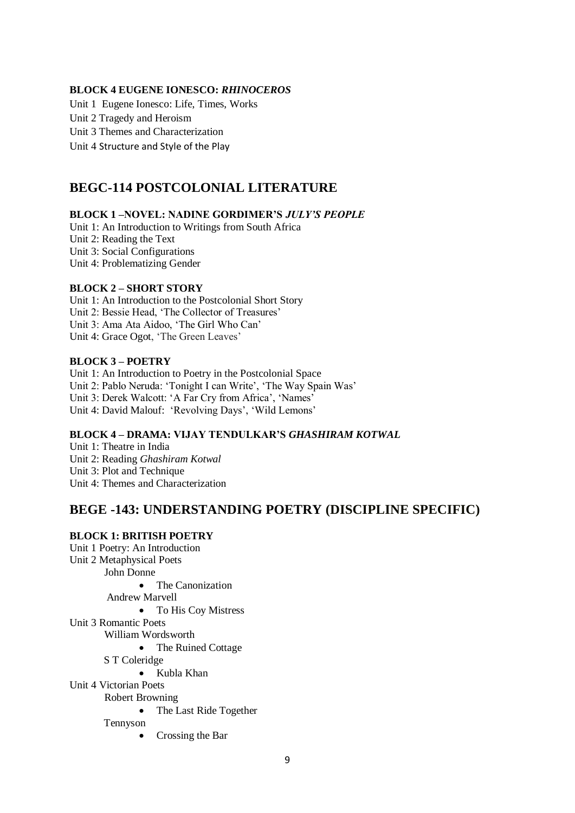#### **BLOCK 4 EUGENE IONESCO:** *RHINOCEROS*

Unit 1 [Eugene Ionesco: Life, Times, Works](http://egyankosh.ac.in/handle/123456789/26934) Unit 2 Tragedy and Heroism Unit 3 [Themes and Characterization](http://egyankosh.ac.in/handle/123456789/26924) Unit 4 Structure and Style of the Play

# **BEGC-114 POSTCOLONIAL LITERATURE**

#### **BLOCK 1 –NOVEL: NADINE GORDIMER'S** *JULY'S PEOPLE*

Unit 1: An Introduction to Writings from South Africa Unit 2: Reading the Text Unit 3: Social Configurations Unit 4: Problematizing Gender

#### **BLOCK 2 – SHORT STORY**

Unit 1: An Introduction to the Postcolonial Short Story Unit 2: Bessie Head, 'The Collector of Treasures' Unit 3: Ama Ata Aidoo, 'The Girl Who Can' Unit 4: Grace Ogot, 'The Green Leaves'

#### **BLOCK 3 – POETRY**

Unit 1: An Introduction to Poetry in the Postcolonial Space Unit 2: Pablo Neruda: 'Tonight I can Write', 'The Way Spain Was' Unit 3: Derek Walcott: 'A Far Cry from Africa', 'Names' Unit 4: David Malouf: 'Revolving Days', 'Wild Lemons'

#### **BLOCK 4 – DRAMA: VIJAY TENDULKAR'S** *GHASHIRAM KOTWAL*

Unit 1: Theatre in India Unit 2: Reading *Ghashiram Kotwal* Unit 3: Plot and Technique Unit 4: Themes and Characterization

### **BEGE -143: UNDERSTANDING POETRY (DISCIPLINE SPECIFIC)**

#### **BLOCK 1: BRITISH POETRY**

- Unit 1 Poetry: An Introduction Unit 2 Metaphysical Poets John Donne • The Canonization Andrew Marvell • To His Coy Mistress Unit 3 Romantic Poets William Wordsworth • The Ruined Cottage S T Coleridge Kubla Khan Unit 4 Victorian Poets Robert Browning • The Last Ride Together Tennyson
	- Crossing the Bar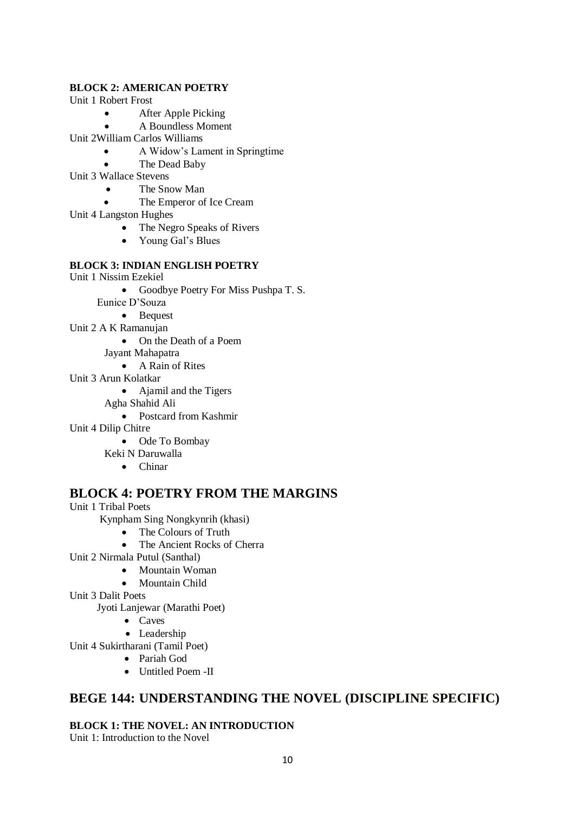### **BLOCK 2: AMERICAN POETRY**

Unit 1 Robert Frost

- After Apple Picking
- A Boundless Moment

Unit 2William Carlos Williams

- A Widow's Lament in Springtime
- The Dead Baby
- Unit 3 Wallace Stevens
	- The Snow Man
	- The Emperor of Ice Cream
- Unit 4 Langston Hughes
	- The Negro Speaks of Rivers
	- Young Gal's Blues

### **BLOCK 3: INDIAN ENGLISH POETRY**

- Unit 1 Nissim Ezekiel
	- Goodbye Poetry For Miss Pushpa T. S.
	- Eunice D'Souza
		- Bequest
- Unit 2 A K Ramanujan
	- On the Death of a Poem
	- Jayant Mahapatra
		- A Rain of Rites
- Unit 3 Arun Kolatkar
	- Ajamil and the Tigers
	- Agha Shahid Ali
		- Postcard from Kashmir
- Unit 4 Dilip Chitre
	- Ode To Bombay
	- Keki N Daruwalla
		- Chinar

# **BLOCK 4: POETRY FROM THE MARGINS**

- Unit 1 Tribal Poets
	- Kynpham Sing Nongkynrih (khasi)
		- The Colours of Truth
		- The Ancient Rocks of Cherra
- Unit 2 Nirmala Putul (Santhal)
	- Mountain Woman
	- Mountain Child
- Unit 3 Dalit Poets
	- Jyoti Lanjewar (Marathi Poet)
		- Caves
		- Leadership
- Unit 4 Sukirtharani (Tamil Poet)
	- Pariah God
	- Untitled Poem -II

# **BEGE 144: UNDERSTANDING THE NOVEL (DISCIPLINE SPECIFIC)**

**BLOCK 1: THE NOVEL: AN INTRODUCTION**

Unit 1: Introduction to the Novel